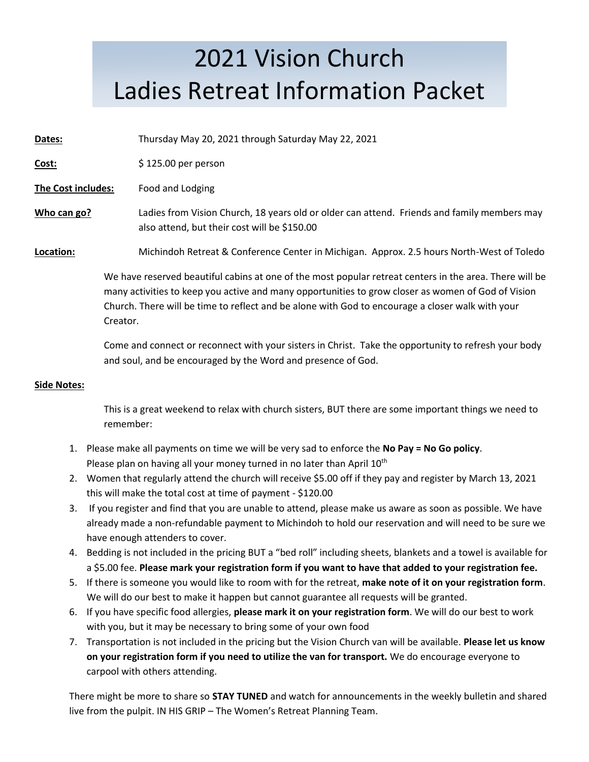### 2021 Vision Church Ladies Retreat Information Packet

**Dates:** Thursday May 20, 2021 through Saturday May 22, 2021

**Cost:**  $\frac{1}{2}$  \$ 125.00 per person

**The Cost includes:** Food and Lodging

**Who can go?** Ladies from Vision Church, 18 years old or older can attend. Friends and family members may also attend, but their cost will be \$150.00

**Location:** Michindoh Retreat & Conference Center in Michigan. Approx. 2.5 hours North-West of Toledo

We have reserved beautiful cabins at one of the most popular retreat centers in the area. There will be many activities to keep you active and many opportunities to grow closer as women of God of Vision Church. There will be time to reflect and be alone with God to encourage a closer walk with your Creator.

Come and connect or reconnect with your sisters in Christ. Take the opportunity to refresh your body and soul, and be encouraged by the Word and presence of God.

#### **Side Notes:**

This is a great weekend to relax with church sisters, BUT there are some important things we need to remember:

- 1. Please make all payments on time we will be very sad to enforce the **No Pay = No Go policy**. Please plan on having all your money turned in no later than April 10<sup>th</sup>
- 2. Women that regularly attend the church will receive \$5.00 off if they pay and register by March 13, 2021 this will make the total cost at time of payment - \$120.00
- 3. If you register and find that you are unable to attend, please make us aware as soon as possible. We have already made a non-refundable payment to Michindoh to hold our reservation and will need to be sure we have enough attenders to cover.
- 4. Bedding is not included in the pricing BUT a "bed roll" including sheets, blankets and a towel is available for a \$5.00 fee. **Please mark your registration form if you want to have that added to your registration fee.**
- 5. If there is someone you would like to room with for the retreat, **make note of it on your registration form**. We will do our best to make it happen but cannot guarantee all requests will be granted.
- 6. If you have specific food allergies, **please mark it on your registration form**. We will do our best to work with you, but it may be necessary to bring some of your own food
- 7. Transportation is not included in the pricing but the Vision Church van will be available. **Please let us know on your registration form if you need to utilize the van for transport.** We do encourage everyone to carpool with others attending.

There might be more to share so **STAY TUNED** and watch for announcements in the weekly bulletin and shared live from the pulpit. IN HIS GRIP – The Women's Retreat Planning Team.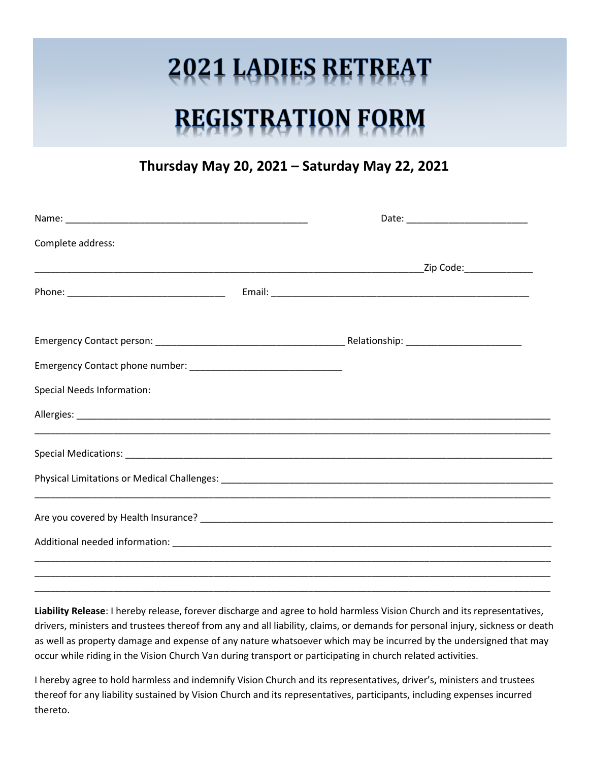## **2021 LADIES RETREAT**

# **REGISTRATION FORM**

#### **Thursday May 20, 2021 – Saturday May 22, 2021**

| Complete address:                 |  |  |  |
|-----------------------------------|--|--|--|
|                                   |  |  |  |
|                                   |  |  |  |
|                                   |  |  |  |
|                                   |  |  |  |
| <b>Special Needs Information:</b> |  |  |  |
|                                   |  |  |  |
|                                   |  |  |  |
|                                   |  |  |  |
|                                   |  |  |  |
|                                   |  |  |  |
|                                   |  |  |  |

**Liability Release**: I hereby release, forever discharge and agree to hold harmless Vision Church and its representatives, drivers, ministers and trustees thereof from any and all liability, claims, or demands for personal injury, sickness or death as well as property damage and expense of any nature whatsoever which may be incurred by the undersigned that may occur while riding in the Vision Church Van during transport or participating in church related activities.

\_\_\_\_\_\_\_\_\_\_\_\_\_\_\_\_\_\_\_\_\_\_\_\_\_\_\_\_\_\_\_\_\_\_\_\_\_\_\_\_\_\_\_\_\_\_\_\_\_\_\_\_\_\_\_\_\_\_\_\_\_\_\_\_\_\_\_\_\_\_\_\_\_\_\_\_\_\_\_\_\_\_\_\_\_\_\_\_\_\_\_\_\_\_\_\_\_\_

I hereby agree to hold harmless and indemnify Vision Church and its representatives, driver's, ministers and trustees thereof for any liability sustained by Vision Church and its representatives, participants, including expenses incurred thereto.